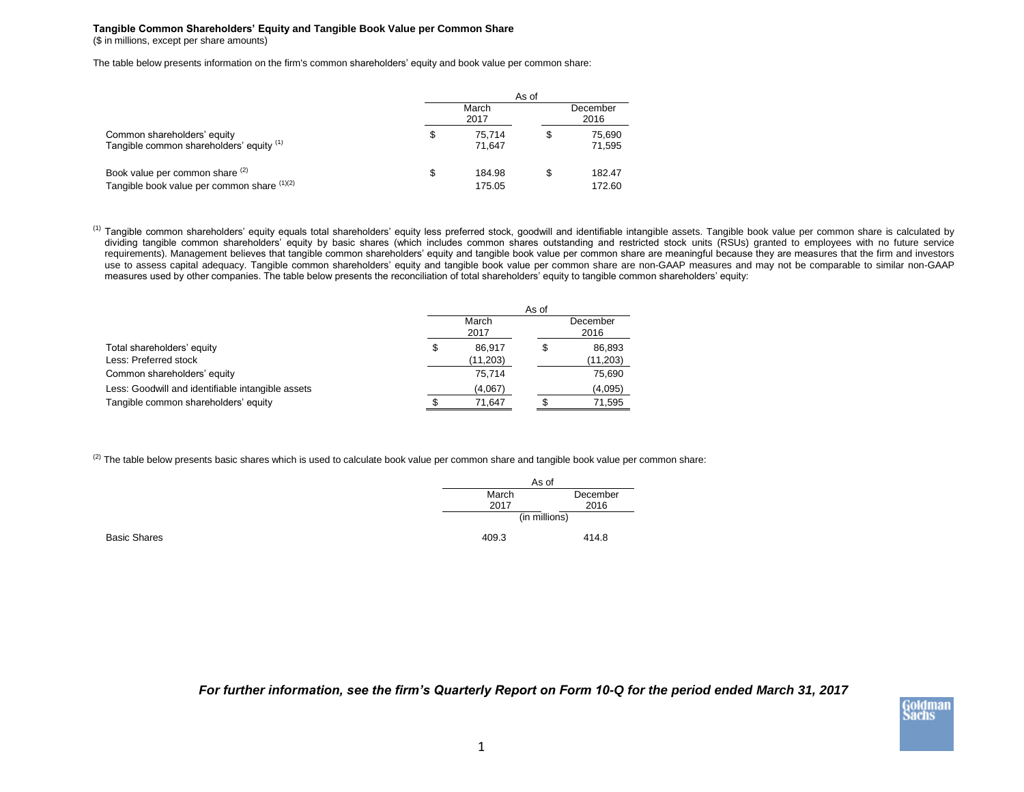## **Tangible Common Shareholders' Equity and Tangible Book Value per Common Share** (\$ in millions, except per share amounts)

The table below presents information on the firm's common shareholders' equity and book value per common share:

|                                                                                | As of         |                  |                  |                  |  |  |
|--------------------------------------------------------------------------------|---------------|------------------|------------------|------------------|--|--|
|                                                                                | March<br>2017 |                  | December<br>2016 |                  |  |  |
| Common shareholders' equity<br>Tangible common shareholders' equity (1)        | \$            | 75.714<br>71.647 | \$               | 75,690<br>71,595 |  |  |
| Book value per common share (2)<br>Tangible book value per common share (1)(2) | S             | 184.98<br>175.05 | \$               | 182.47<br>172.60 |  |  |

<sup>(1)</sup> Tangible common shareholders' equity equals total shareholders' equity less preferred stock, goodwill and identifiable intangible assets. Tangible book value per common share is calculated by dividing tangible common shareholders' equity by basic shares (which includes common shares outstanding and restricted stock units (RSUs) granted to employees with no future service requirements). Management believes that tangible common shareholders' equity and tangible book value per common share are meaningful because they are measures that the firm and investors use to assess capital adequacy. Tangible common shareholders' equity and tangible book value per common share are non-GAAP measures and may not be comparable to similar non-GAAP measures used by other companies. The table below presents the reconciliation of total shareholders' equity to tangible common shareholders' equity:

|                                                   | As of |                  |  |           |
|---------------------------------------------------|-------|------------------|--|-----------|
|                                                   |       | December<br>2016 |  |           |
| Total shareholders' equity                        | \$    | 86.917           |  | 86,893    |
| Less: Preferred stock                             |       | (11, 203)        |  | (11, 203) |
| Common shareholders' equity                       |       | 75.714           |  | 75,690    |
| Less: Goodwill and identifiable intangible assets |       | (4,067)          |  | (4,095)   |
| Tangible common shareholders' equity              |       | 71,647           |  | 71,595    |

 $^{(2)}$  The table below presents basic shares which is used to calculate book value per common share and tangible book value per common share:

|              |       | As of         |  |  |
|--------------|-------|---------------|--|--|
|              | March | December      |  |  |
|              | 2017  | 2016          |  |  |
|              |       | (in millions) |  |  |
| Basic Shares | 409.3 | 414.8         |  |  |

*For further information, see the firm's Quarterly Report on Form 10-Q for the period ended March 31, 2017*